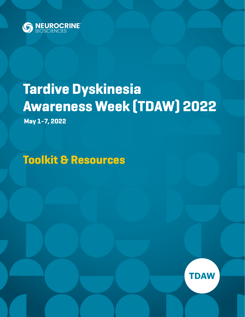

# **Tardive Dyskinesia Awareness Week (TDAW) 2022**

**May 1-7, 2022**

**Toolkit & Resources**

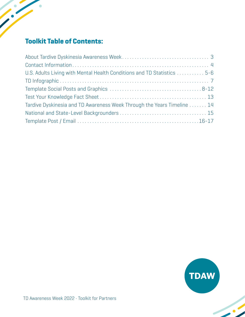# **Toolkit Table of Contents:**

 $\bullet$ 

| U.S. Adults Living with Mental Health Conditions and TD Statistics  5-6 |
|-------------------------------------------------------------------------|
|                                                                         |
|                                                                         |
|                                                                         |
| Tardive Dyskinesia and TD Awareness Week Through the Years Timeline  14 |
|                                                                         |
|                                                                         |

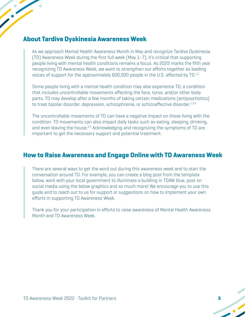#### <span id="page-2-0"></span>**About Tardive Dyskinesia Awareness Week**

As we approach Mental Health Awareness Month in May and recognize Tardive Dyskinesia (TD) Awareness Week during the first full week (May 1-7), it's critical that supporting people living with mental health conditions remains a focus. As 2022 marks the fifth year recognizing TD Awareness Week, we want to strengthen our efforts together as leading voices of support for the approximately 600,000 people in the U.S. affected by TD.<sup>1,2</sup>

Some people living with a mental health condition may also experience TD, a condition that includes uncontrollable movements affecting the face, torso, and/or other body parts. TD may develop after a few months of taking certain medications (antipsychotics) to treat bipolar disorder, depression, schizophrenia, or schizoaffective disorder.<sup>1,3,4</sup>

The uncontrollable movements of TD can have a negative impact on those living with the condition. TD movements can also impact daily tasks such as eating, sleeping, drinking, and even leaving the house.<sup>2,5</sup> Acknowledging and recognizing the symptoms of TD are important to get the necessary support and potential treatment.

#### **How to Raise Awareness and Engage Online with TD Awareness Week**

There are several ways to get the word out during this awareness week and to start the conversation around TD. For example, you can create a blog post from the template below, work with your local government to illuminate a building in TDAW blue, post on social media using the below graphics and so much more! We encourage you to use this guide and to reach out to us for support or suggestions on how to implement your own efforts in supporting TD Awareness Week.

Thank you for your participation in efforts to raise awareness of Mental Health Awareness Month and TD Awareness Week.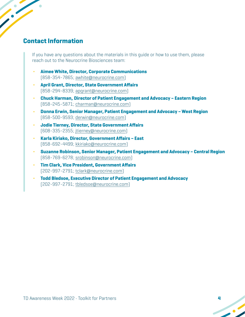## **Contact Information**

<span id="page-3-0"></span>

If you have any questions about the materials in this guide or how to use them, please reach out to the Neurocrine Biosciences team:

- **• Aimee White, Director, Corporate Communications** (858-354-7865; awhite@neurocrine.com)
- **• April Grant, Director, State Government Affairs** (858-294-8339; apgrant@neurocrine.com)
- **• Chuck Harman, Director of Patient Engagement and Advocacy Eastern Region** (858-245-5871; charman@neurocrine.com)
- **• Donna Erwin, Senior Manager, Patient Engagement and Advocacy West Region**  (858-500-9593; derwin@neurocrine.com)
- **• Jodie Tierney, Director, State Government Affairs** (608-335-2355; jtierney@neurocrine.com)
- **• Karla Kiriako, Director, Government Affairs East**  (858-692-4499; kkiriako@neurocrine.com)
- **• Suzanne Robinson, Senior Manager, Patient Engagement and Advocacy Central Region** (858-769-6278; srobinson@neurocrine.com)
- **• Tim Clark, Vice President, Government Affairs** (202-997-2791; tclark@neurocrine.com)
- **• Todd Bledsoe, Executive Director of Patient Engagement and Advocacy** (202-997-2791; tbledsoe@neurocrine.com)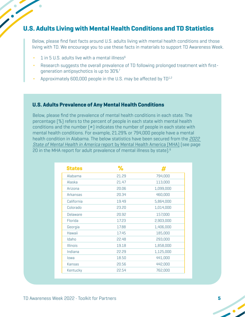#### <span id="page-4-0"></span>**U.S. Adults Living with Mental Health Conditions and TD Statistics**

Below, please find fast facts around U.S. adults living with mental health conditions and those living with TD. We encourage you to use these facts in materials to support TD Awareness Week.

- 1 in 5 U.S. adults live with a mental illness<sup>6</sup>
- **•** Research suggests the overall prevalence of TD following prolonged treatment with firstgeneration antipsychotics is up to 30%7
- Approximately 600,000 people in the U.S. may be affected by TD<sup>1,2</sup>

#### **U.S. Adults Prevalence of Any Mental Health Conditions**

Below, please find the prevalence of mental health conditions in each state. The percentage (%) refers to the percent of people in each state with mental health conditions and the number  $[#]$  indicates the number of people in each state with mental health conditions. For example, 21.29% or 794,000 people have a mental health condition in Alabama. The below statistics have been secured from the [2022](https://mhanational.org/sites/default/files/2022%20State%20of%20Mental%20Health%20in%20America.pdf?eType=ActivityDefinitionInstance&eId=a7a571c8-7fac-4660-b06d-ff88af5c2bec)  State of Mental Health in America [report by Mental Health America \(MHA\) \(](https://mhanational.org/sites/default/files/2022%20State%20of%20Mental%20Health%20in%20America.pdf?eType=ActivityDefinitionInstance&eId=a7a571c8-7fac-4660-b06d-ff88af5c2bec)see page 20 in the MHA report for adult prevalence of mental illness by state).<sup>8</sup>

| <b>States</b>   | %     | #         |
|-----------------|-------|-----------|
| Alabama         | 21.29 | 794,000   |
| Alaska          | 21.47 | 113,000   |
| Arizona         | 20.06 | 1,099,000 |
| Arkansas        | 20.34 | 460,000   |
| California      | 19.49 | 5,864,000 |
| Colorado        | 23.20 | 1,014,000 |
| <b>Delaware</b> | 20.92 | 157,000   |
| Florida         | 17.23 | 2,903,000 |
| Georgia         | 17.88 | 1,406,000 |
| Hawaii          | 17.45 | 185,000   |
| Idaho           | 22.48 | 293,000   |
| <b>Illinois</b> | 19.18 | 1,858,000 |
| Indiana         | 22.29 | 1,125,000 |
| lowa            | 18.50 | 441,000   |
| Kansas          | 20.56 | 442,000   |
| Kentucky        | 22.54 | 762,000   |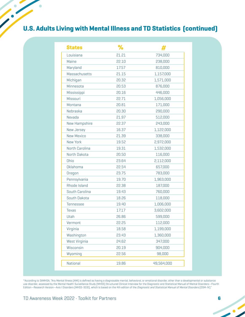# **U.S. Adults Living with Mental Illness and TD Statistics (continued)**

 $\bullet$ 

| <b>States</b>     | ℅     |            |
|-------------------|-------|------------|
| Louisiana         | 21.21 | 734,000    |
| Maine             | 22.10 | 238,000    |
| Maryland          | 17.57 | 810,000    |
| Massachusetts     | 21.15 | 1,157,000  |
| Michigan          | 20.32 | 1,571,000  |
| Minnesota         | 20.53 | 876,000    |
| Mississippi       | 20.16 | 446,000    |
| Missouri          | 22.71 | 1,056,000  |
| Montana           | 20.81 | 171,000    |
| Nebraska          | 20.30 | 290,000    |
| Nevada            | 21.97 | 512,000    |
| New Hampshire     | 22.37 | 243,000    |
| New Jersey        | 16.37 | 1,122,000  |
| <b>New Mexico</b> | 21.39 | 338,000    |
| New York          | 19.52 | 2,972,000  |
| North Carolina    | 19.31 | 1,532,000  |
| North Dakota      | 20.50 | 116,000    |
| Ohio              | 23.64 | 2,112,000  |
| Oklahoma          | 22.54 | 657,000    |
| Oregon            | 23.75 | 783,000    |
| Pennsylvania      | 19.70 | 1,963,000  |
| Rhode Island      | 22.38 | 187,000    |
| South Carolina    | 19.43 | 760,000    |
| South Dakota      | 18.26 | 118,000    |
| <b>Tennessee</b>  | 19.40 | 1,006,000  |
| <b>Texas</b>      | 17.17 | 3,602,000  |
| Utah              | 26.86 | 599,000    |
| Vermont           | 22.25 | 112,000    |
| Virginia          | 18.58 | 1,199,000  |
| Washington        | 23.43 | 1,360,000  |
| West Virginia     | 24.62 | 347,000    |
| Wisconsin         | 20.19 | 904,000    |
| Wyoming           | 22.56 | 98,000     |
| National          | 19.86 | 49,564,000 |

\*According to SAMHSA, "Any Mental Illness (AMI) is defined as having a diagnosable mental, behavioral, or emotional disorder, other than a developmental or substance use disorder, assessed by the Mental Health Surveillance Study (MHSS) Structured Clinical Interview for the Diagnostic and Statistical Manual of Mental Disorders—Fourth Edition—Research Version—Axis I Disorders (MHSS-SCID), which is based on the 4th edition of the *Diagnostic and Statistical Manual of Mental Disorders* (DSM-IV)."

 $\sim$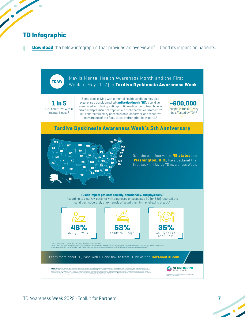## **TD Infographic**

<span id="page-6-0"></span> $\bullet$ 

**[Download](https://www.dropbox.com/sh/89coniutygq53ez/AADTZNMZXtlTigbn3eWrZ_Zta?dl=0)** the below infographic that provides an overview of TD and its impact on patients.



 $\bullet$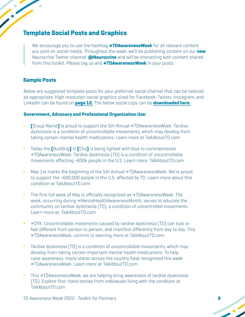# <span id="page-7-0"></span>**Template Social Posts and Graphics**

We encourage you to use the hashtag **#TDAwarenessWeek** for all relevant content you post on social media. Throughout the week, we'll be publishing content on our **new** Neurocrine Twitter channel, **@Neurocrine** and will be interacting with content shared from this toolkit. Please tag us and **#TDAwarenessWeek** in your posts.

#### **Sample Posts**

Below are suggested template posts for your preferred social channel that can be tailored as appropriate. High resolution social graphics sized for Facebook, Twitter, Instagram, and LinkedIn can be found on **[page 12.](#page-11-0)** The below social copy can be **[downloaded here.](https://www.dropbox.com/sh/rp318jml2zev954/AAB6BtChn_zDpVvKT3UbgzH7a?dl=0)**

#### **Government, Advocacy and Professional Organization Use:**

- **∆ [**Group Name**]** is proud to support the 5th Annual #TDAwarenessWeek. Tardive dyskinesia is a condition of uncontrollable movements, which may develop from taking certain mental health medications. Learn more at TalkAboutTD.com
- **∆** Today the **[**Building**]** in **[**City**]** is being lighted with blue to commemorate #TDAwarenessWeek. Tardive dyskinesia (TD) is a condition of uncontrollable movements affecting ~600k people in the U.S. Learn more: TalkAboutTD.com
- **∆** May 1st marks the beginning of the 5th Annual #TDAwarenessWeek. We're proud to support the ~600,000 people in the U.S. affected by TD. Learn more about this condition at TalkAboutTD.com
- **∆** The first full week of May is officially recognized as #TDAwarenessWeek. The week, occurring during #MentalHealthAwarenessMonth, serves to educate the community on tardive dyskinesia (TD), a condition of uncontrolled movements. Learn more at: TalkAboutTD.com
- **∆** #DYK: Uncontrollable movements caused by tardive dyskinesia (TD) can look or feel different from person to person, and manifest differently from day to day. This #TDAwarenessWeek, commit to learning more at TalkAboutTD.com
- **∆** Tardive dyskinesia (TD) is a condition of uncontrollable movements, which may develop from taking certain important mental health medications. To help raise awareness, many states across the country have recognized this week #TDAwarenessWeek. Learn more at TalkAboutTD.com
- **∆** This #TDAwarenessWeek, we are helping bring awareness of tardive dyskinesia (TD). Explore first-hand stories from individuals living with the condition at TalkAboutTD.com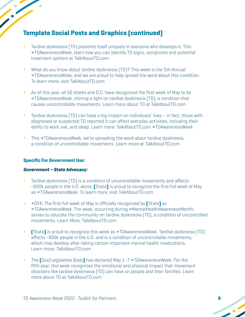- Tardive dyskinesia (TD) presents itself uniquely in everyone who develops it. This #TDAwarenessWeek, learn how you can identify TD signs, symptoms and potential treatment options at TalkAboutTD.com
- What do you know about tardive dyskinesia (TD)? This week is the 5th Annual #TDAwarenessWeek, and we are proud to help spread the word about this condition. To learn more, visit TalkAboutTD.com
- **∆** As of this year, all 50 states and D.C. have recognized the first week of May to be #TDAwarenessWeek, shining a light on tardive dyskinesia (TD), a condition that causes uncontrollable movements. Learn more about TD at TalkAboutTD.com
- **∆** Tardive dyskinesia (TD) can have a big impact on individuals' lives in fact, those with diagnosed or suspected TD reported it can affect everyday activities, including their ability to work, eat, and sleep. Learn more: TalkAboutTD.com #TDAwarenessWeek
- **∆** This #TDAwarenessWeek, we're spreading the word about tardive dyskinesia, a condition of uncontrollable movements. Learn more at TalkAboutTD.com

#### **Specific For Government Use:**

#### **Government – State Advocacy:**

- **∆** Tardive dyskinesia (TD) is a condition of uncontrollable movements and affects ~600k people in the U.S. alone. **[**State**]** is proud to recognize the first full week of May as #TDAwarenessWeek. To learn more, visit TalkAboutTD.com
- **∆** #DYK: The first full week of May is officially recognized by **[**State**]** as #TDAwarenessWeek. The week, occurring during #MentalHealthAwarenessMonth, serves to educate the community on tardive dyskinesia (TD), a condition of uncontrolled movements. Learn More: TalkAboutTD.com
- **∆ [**State**]** is proud to recognize this week as #TDAwarenessWeek. Tardive dyskinesia (TD) affects ~600k people in the U.S. and is a condition of uncontrollable movements, which may develop after taking certain important mental health medications. Learn more: TalkAboutTD.com
- **∆** The **[**Gov/Legislative Body**]** has declared May 1-7 #TDAwarenessWeek. For the fifth year, this week recognizes the emotional and physical impact that movement disorders like tardive dyskinesia (TD) can have on people and their families. Learn more about TD at TalkAboutTD.com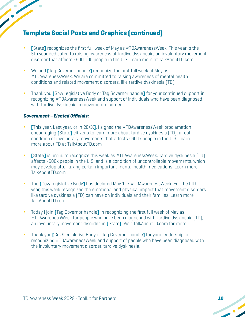- **∆ [**State**]** recognizes the first full week of May as #TDAwarenessWeek. This year is the 5th year dedicated to raising awareness of tardive dyskinesia, an involuntary movement disorder that affects ~600,000 people in the U.S. Learn more at TalkAboutTD.com
- **∆** We and **[**Tag Governor handle**]** recognize the first full week of May as #TDAwarenessWeek. We are committed to raising awareness of mental health conditions and related movement disorders, like tardive dyskinesia (TD).
- **∆** Thank you **[**Gov/Legislative Body or Tag Governor handle**]** for your continued support in recognizing #TDAwarenessWeek and support of individuals who have been diagnosed with tardive dyskinesia, a movement disorder.

#### **Government – Elected Officials:**

- **∆ [**This year, Last year, or in 20XX**]**, I signed the #TDAwarenessWeek proclamation encouraging **[**State**]** citizens to learn more about tardive dyskinesia (TD), a real condition of involuntary movements that affects ~600k people in the U.S. Learn more about TD at TalkAboutTD.com
- **∆ [**State**]** is proud to recognize this week as #TDAwarenessWeek. Tardive dyskinesia (TD) affects ~600k people in the U.S. and is a condition of uncontrollable movements, which may develop after taking certain important mental health medications. Learn more: TalkAboutTD.com
- **∆** The **[**Gov/Legislative Body**]** has declared May 1-7 #TDAwarenessWeek. For the fifth year, this week recognizes the emotional and physical impact that movement disorders like tardive dyskinesia (TD) can have on individuals and their families. Learn more: TalkAboutTD.com
- **∆** Today I join **[**Tag Governor handle**]** in recognizing the first full week of May as #TDAwarenessWeek for people who have been diagnosed with tardive dyskinesia (TD), an involuntary movement disorder, in **[**State**]**. Visit TalkAboutTD.com for more.
- **∆** Thank you **[**Gov/Legislative Body or Tag Governor handle**]** for your leadership in recognizing #TDAwarenessWeek and support of people who have been diagnosed with the involuntary movement disorder, tardive dyskinesia.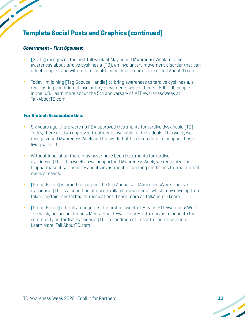#### **Government – First Spouses:**

- **∆ [**State**]** recognizes the first full week of May as #TDAwarenessWeek to raise awareness about tardive dyskinesia (TD), an involuntary movement disorder that can affect people living with mental health conditions. Learn more at TalkAboutTD.com
- **∆** Today I'm joining **[**Tag Spouse Handle**]** to bring awareness to tardive dyskinesia, a real, lasting condition of involuntary movements which affects ~600,000 people in the U.S. Learn more about the 5th anniversary of #TDAwarenessWeek at TalkAboutTD.com

#### **For Biotech Association Use:**

- **∆** Six years ago, there were no FDA approved treatments for tardive dyskinesia (TD). Today, there are two approved treatments available for individuals. This week, we recognize #TDAwarenessWeek and the work that has been done to support those living with TD.
- **∆** Without innovation there may never have been treatments for tardive dyskinesia (TD). This week as we support #TDAwarenessWeek, we recognize the biopharmaceutical industry and its investment in creating medicines to treat unmet medical needs.
- **∆ [**Group Name**]** is proud to support the 5th Annual #TDAwarenessWeek. Tardive dyskinesia (TD) is a condition of uncontrollable movements, which may develop from taking certain mental health medications. Learn more at TalkAboutTD.com
- **∆ [**Group Name**]** officially recognizes the first full week of May as #TDAwarenessWeek. The week, occurring during #MentalHealthAwarenessMonth, serves to educate the community on tardive dyskinesia (TD), a condition of uncontrolled movements. Learn More: TalkAboutTD.com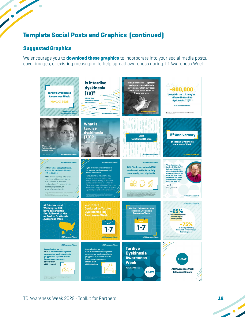#### **Suggested Graphics**

<span id="page-11-0"></span> $\bullet$ 

 $\bullet$ 

We encourage you to **[download these graphics](https://www.dropbox.com/sh/576nsfzt07tfu01/AAD29xQue0Jnsezf-vNzh24da?dl=0)** to incorporate into your social media posts, cover images, or existing messaging to help spread awareness during TD Awareness Week.

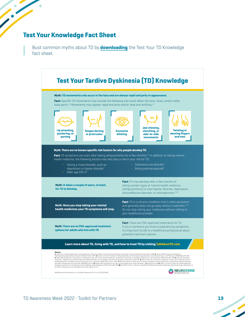#### **Test Your Knowledge Fact Sheet**

 $\bullet$ 

<span id="page-12-0"></span>

 $\blacksquare$ 

Bust common myths about TD by **[downloading](https://www.dropbox.com/sh/8gfc0kmwe3wvwg9/AADd7FUAaShITYPIpi7zljLEa?dl=0)** the Test Your TD Knowledge fact sheet.



- 1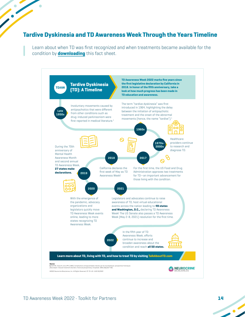#### <span id="page-13-0"></span>**Tardive Dyskinesia and TD Awareness Week Through the Years Timeline**

Learn about when TD was first recognized and when treatments became available for the condition by **[downloading](https://www.dropbox.com/sh/ommmvrlmlmrmwk6/AABiIL0fkLDNXRKGYu9i6oNLa?dl=0)** this fact sheet.



 $\bullet$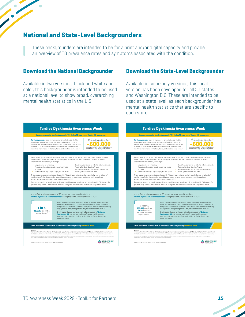#### **National and State-Level Backgrounders**

These backgrounders are intended to be for a print and/or digital capacity and provide an overview of TD prevalence rates and symptoms associated with the condition.

 $\bullet$ 

<span id="page-14-0"></span>

 $\bullet$ 

Available in two versions, black and white and color, this backgrounder is intended to be used at a national level to show broad, overarching mental health statistics in the U.S.

#### **[Download t](https://www.dropbox.com/sh/jf0xr8b6l42ssnt/AACBLpukt7g2_KzHas3IVGgKa?dl=0)he National Backgrounder [Download t](https://www.dropbox.com/sh/jeldnk7qd3lnibs/AACbmuVHN3w7HKJh01owxM50a?dl=0)he State-Level Backgrounder**

Available in color-only versions, this local version has been developed for all 50 states and Washington D.C. These are intended to be used at a state level, as each backgrounder has mental health statistics that are specific to each state.



 $\overline{\phantom{a}}$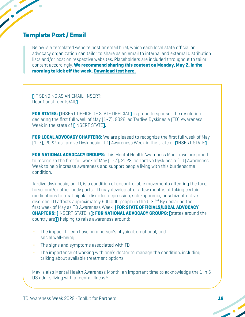# <span id="page-15-0"></span>**Template Post / Email**

Below is a templated website post or email brief, which each local state official or advocacy organization can tailor to share as an email to internal and external distribution lists and/or post on respective websites. Placeholders are included throughout to tailor content accordingly. **We recommend sharing this content on Monday, May 2, in the morning to kick off the week[. Download text here.](https://www.dropbox.com/sh/2nw3s1x07gekl02/AAABEGlgbiycLe-Esz9qgny7a?dl=0)**

**[**IF SENDING AS AN EMAIL, INSERT: Dear Constituents/All,**]**

**FOR STATES: [**INSERT OFFICE OF STATE OFFICIAL**]** is proud to sponsor the resolution declaring the first full week of May (1-7), 2022, as Tardive Dyskinesia (TD) Awareness Week in the state of **[**INSERT STATE**]**.

**FOR LOCAL ADVOCACY CHAPTERS:** We are pleased to recognize the first full week of May (1-7), 2022, as Tardive Dyskinesia (TD) Awareness Week in the state of **[**INSERT STATE**]**.

**FOR NATIONAL ADVOCACY GROUPS:** This Mental Health Awareness Month, we are proud to recognize the first full week of May (1-7), 2022, as Tardive Dyskinesia (TD) Awareness Week to help increase awareness and support people living with this burdensome condition.

Tardive dyskinesia, or TD, is a condition of uncontrollable movements affecting the face, torso, and/or other body parts. TD may develop after a few months of taking certain medications to treat bipolar disorder, depression, schizophrenia, or schizoaffective disorder. TD affects approximately 600,000 people in the U.S. 1-4 By declaring the first week of May as TD Awareness Week, **(FOR STATE OFFICIALS/LOCAL ADVOCACY CHAPTERS: [**INSERT STATE is**]**; **FOR NATIONAL ADVOCACY GROUPS: [**states around the country are**])** helping to raise awareness around:

- **•** The impact TD can have on a person's physical, emotional, and social well-being
- **•** The signs and symptoms associated with TD
- **•** The importance of working with one's doctor to manage the condition, including talking about available treatment options

May is also Mental Health Awareness Month, an important time to acknowledge the 1 in 5 US adults living with a mental illness. 5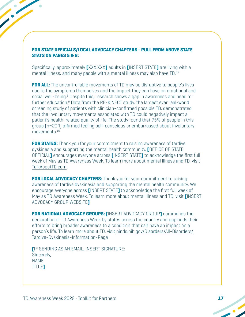#### **FOR STATE OFFICIALS/LOCAL ADVOCACY CHAPTERS - PULL FROM ABOVE STATE STATS ON PAGES 5 & 6:**

Specifically, approximately **[**XXX,XXX**]** adults in **[**INSERT STATE**]** are living with a mental illness, and many people with a mental illness may also have TD.<sup>6,7</sup>

**FOR ALL:** The uncontrollable movements of TD may be disruptive to people's lives due to the symptoms themselves and the impact they can have on emotional and social well-being.<sup>8</sup> Despite this, research shows a gap in awareness and need for further education.<sup>9</sup> Data from the RE-KINECT study, the largest ever real-world screening study of patients with clinician-confirmed possible TD, demonstrated that the involuntary movements associated with TD could negatively impact a patient's health-related quality of life. The study found that 75% of people in this group (n=204) affirmed feeling self-conscious or embarrassed about involuntary movements. 10

**FOR STATES:** Thank you for your commitment to raising awareness of tardive dyskinesia and supporting the mental health community. **[**OFFICE OF STATE OFFICIAL**]** encourages everyone across **[**INSERT STATE**]** to acknowledge the first full week of May as TD Awareness Week. To learn more about mental illness and TD, visit TalkAboutTD.com.

**FOR LOCAL ADVOCACY CHAPTERS:** Thank you for your commitment to raising awareness of tardive dyskinesia and supporting the mental health community. We encourage everyone across **[**INSERT STATE**]** to acknowledge the first full week of May as TD Awareness Week. To learn more about mental illness and TD, visit **[**INSERT ADVOCACY GROUP WEBSITE**]**.

**FOR NATIONAL ADVOCACY GROUPS: [**INSERT ADVOCACY GROUP**]** commends the declaration of TD Awareness Week by states across the country and applauds their efforts to bring broader awareness to a condition that can have an impact on a person's life. To learn more about TD, visit ninds.nih.gov/Disorders/All-Disorders/ Tardive-Dyskinesia-Information-Page

**[**IF SENDING AS AN EMAIL, INSERT SIGNATURE: Sincerely, NAME TITLE**]**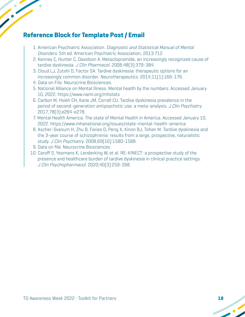# **Reference Block for Template Post / Email**

- 1. American Psychiatric Association. Diagnostic and Statistical Manual of Mental Disorders. 5th ed. American Psychiatric Association; 2013:712.
- 2. Kenney C, Hunter C, Davidson A. Metaclopramide, an increasingly recognized cause of tardive dyskinesia. J Clin Pharmacol. 2008;48[3]:379-384.
- 3. Cloud LJ, Zutshi D, Factor SA. Tardive dyskinesia: therapeutic options for an increasingly common disorder. Neurotherapeutics. 2014;11(1):166-176.
- 4. Data on File. Neurocrine Biosciences.
- 5. National Alliance on Mental Illness. Mental health by the numbers. Accessed January 10, 2022. https://www.nami.org/mhstats
- 6. Carbon M, Hsieh CH, Kane JM, Correll CU. Tardive dyskinesia prevalence in the period of second-generation antipsychotic use: a meta-analysis. J Clin Psychiatry. 2017;78(3):e264-e278.
- 7. Mental Health America. The state of Mental Health in America. Accessed January 10, 2022. https://www.mhanational.org/issues/state-mental-health-america
- 8. Ascher-Svanum H, Zhu B, Faries D, Peng X, Kinon BJ, Tohen M. Tardive dyskinesia and the 3-year course of schizophrenia: results from a large, prospective, naturalistic study. J Clin Psychiatry. 2008;69(10):1580-1588.
- 9. Data on file. Neurocrine Biosciences.
- 10. Caroff S, Yeomans K, Lenderking W, et al. RE-KINECT: a prospective study of the presence and healthcare burden of tardive dyskinesia in clinical practice settings. J Clin Psychopharmacol. 2020;40(3):259-268.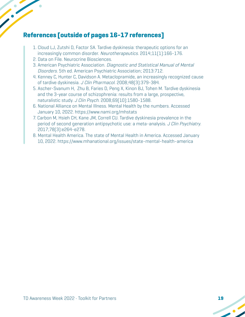# **References [outside of pages 16-17 references]**

- 1. Cloud LJ, Zutshi D, Factor SA. Tardive dyskinesia: therapeutic options for an increasingly common disorder. Neurotherapeutics. 2014;11[1]:166-176.
- 2. Data on File. Neurocrine Biosciences.
- 3. American Psychiatric Association. Diagnostic and Statistical Manual of Mental Disorders. 5th ed. American Psychiatric Association; 2013:712.
- 4. Kenney C, Hunter C, Davidson A. Metaclopramide, an increasingly recognized cause of tardive dyskinesia. J Clin Pharmacol. 2008;48(3):379-384.
- 5. Ascher-Svanum H, Zhu B, Faries D, Peng X, Kinon BJ, Tohen M. Tardive dyskinesia and the 3-year course of schizophrenia: results from a large, prospective, naturalistic study. J Clin Psych. 2008;69[10]:1580-1588.
- 6. National Alliance on Mental Illness. Mental Health by the numbers. Accessed January 10, 2022. https://www.nami.org/mhstats
- 7. Carbon M, Hsieh CH, Kane JM, Correll CU. Tardive dyskinesia prevalence in the period of second generation antipsychotic use: a meta-analysis. J Clin Psychiatry. 2017;78(3):e264-e278.
- 8. Mental Health America. The state of Mental Health in America. Accessed January 10, 2022. https://www.mhanational.org/issues/state-mental-health-america